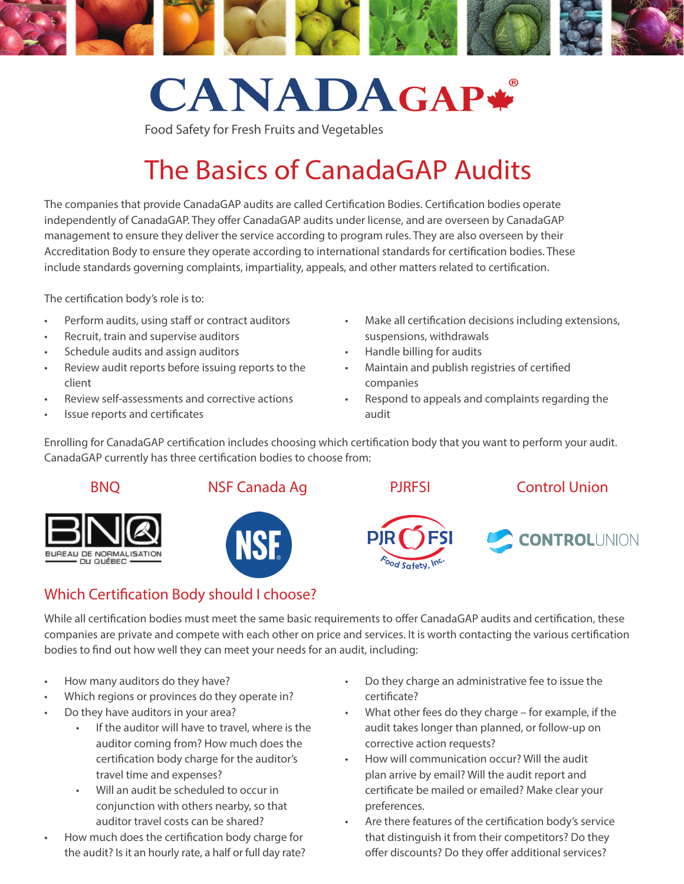

# **CANADAGAP\***

Food Safety for Fresh Fruits and Vegetables

## The Basics of CanadaGAP Audits

The companies that provide CanadaGAP audits are called Certification Bodies. Certification bodies operate independently of CanadaGAP. They offer CanadaGAP audits under license, and are overseen by CanadaGAP management to ensure they deliver the service according to program rules. They are also overseen by their Accreditation Body to ensure they operate according to international standards for certification bodies. These include standards governing complaints, impartiality, appeals, and other matters related to certification.

The certification body's role is to:

- Perform audits, using staff or contract auditors
- Recruit, train and supervise auditors
- Schedule audits and assign auditors
- Review audit reports before issuing reports to the client
- Review self-assessments and corrective actions
- Issue reports and certificates
- Make all certification decisions including extensions, suspensions, withdrawals
- Handle billing for audits
- Maintain and publish registries of certified companies
- Respond to appeals and complaints regarding the audit

Enrolling for CanadaGAP certification includes choosing which certification body that you want to perform your audit. CanadaGAP currently has three certification bodies to choose from:





**NSF** 





### Which Certification Body should I choose?

While all certification bodies must meet the same basic requirements to offer CanadaGAP audits and certification, these companies are private and compete with each other on price and services. It is worth contacting the various certification bodies to find out how well they can meet your needs for an audit, including:

- How many auditors do they have?
- Which regions or provinces do they operate in?
- Do they have auditors in your area?
	- If the auditor will have to travel, where is the auditor coming from? How much does the certification body charge for the auditor's travel time and expenses?
	- Will an audit be scheduled to occur in conjunction with others nearby, so that auditor travel costs can be shared?
- How much does the certification body charge for the audit? Is it an hourly rate, a half or full day rate?
- Do they charge an administrative fee to issue the certificate?
- What other fees do they charge for example, if the audit takes longer than planned, or follow-up on corrective action requests?
- How will communication occur? Will the audit plan arrive by email? Will the audit report and certificate be mailed or emailed? Make clear your preferences.
- Are there features of the certification body's service that distinguish it from their competitors? Do they offer discounts? Do they offer additional services?